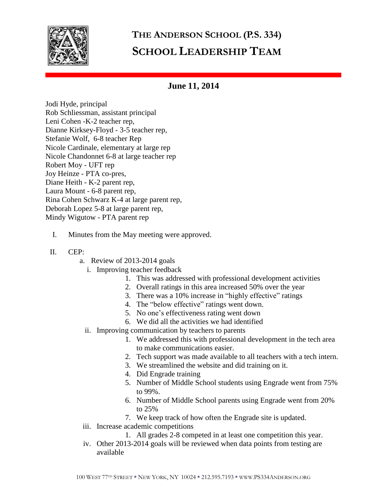

## **THE ANDERSON SCHOOL (P.S. 334) SCHOOL LEADERSHIP TEAM**

## **June 11, 2014**

Jodi Hyde, principal Rob Schliessman, assistant principal Leni Cohen -K-2 teacher rep, Dianne Kirksey-Floyd - 3-5 teacher rep, Stefanie Wolf, 6-8 teacher Rep Nicole Cardinale, elementary at large rep Nicole Chandonnet 6-8 at large teacher rep Robert Moy - UFT rep Joy Heinze - PTA co-pres, Diane Heith - K-2 parent rep, Laura Mount - 6-8 parent rep, Rina Cohen Schwarz K-4 at large parent rep, Deborah Lopez 5-8 at large parent rep, Mindy Wigutow - PTA parent rep

- I. Minutes from the May meeting were approved.
- II. CEP:
	- a. Review of 2013-2014 goals
		- i. Improving teacher feedback
			- 1. This was addressed with professional development activities
			- 2. Overall ratings in this area increased 50% over the year
			- 3. There was a 10% increase in "highly effective" ratings
			- 4. The "below effective" ratings went down.
			- 5. No one's effectiveness rating went down
			- 6. We did all the activities we had identified
		- ii. Improving communication by teachers to parents
			- 1. We addressed this with professional development in the tech area to make communications easier.
			- 2. Tech support was made available to all teachers with a tech intern.
			- 3. We streamlined the website and did training on it.
			- 4. Did Engrade training
			- 5. Number of Middle School students using Engrade went from 75% to 99%.
			- 6. Number of Middle School parents using Engrade went from 20% to 25%
			- 7. We keep track of how often the Engrade site is updated.
	- iii. Increase academic competitions
		- 1. All grades 2-8 competed in at least one competition this year.
	- iv. Other 2013-2014 goals will be reviewed when data points from testing are available